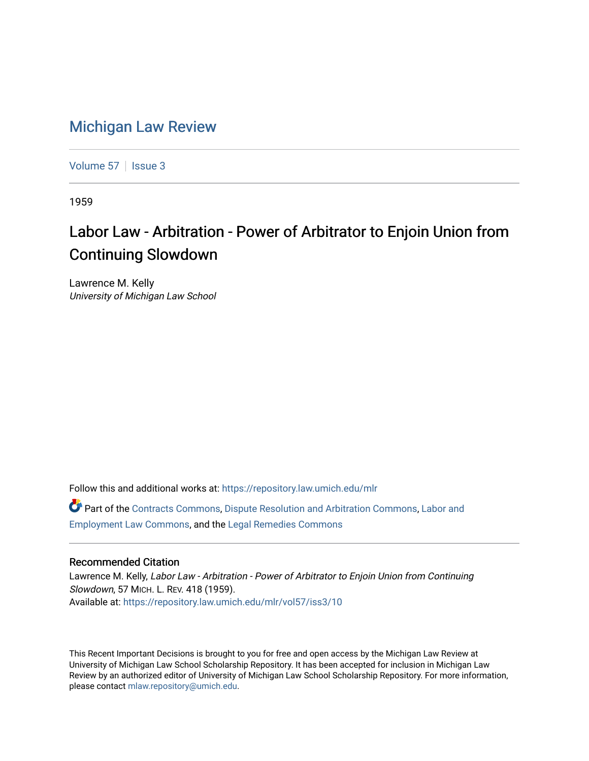## [Michigan Law Review](https://repository.law.umich.edu/mlr)

[Volume 57](https://repository.law.umich.edu/mlr/vol57) | [Issue 3](https://repository.law.umich.edu/mlr/vol57/iss3)

1959

## Labor Law - Arbitration - Power of Arbitrator to Enjoin Union from Continuing Slowdown

Lawrence M. Kelly University of Michigan Law School

Follow this and additional works at: [https://repository.law.umich.edu/mlr](https://repository.law.umich.edu/mlr?utm_source=repository.law.umich.edu%2Fmlr%2Fvol57%2Fiss3%2F10&utm_medium=PDF&utm_campaign=PDFCoverPages) 

Part of the [Contracts Commons](http://network.bepress.com/hgg/discipline/591?utm_source=repository.law.umich.edu%2Fmlr%2Fvol57%2Fiss3%2F10&utm_medium=PDF&utm_campaign=PDFCoverPages), [Dispute Resolution and Arbitration Commons,](http://network.bepress.com/hgg/discipline/890?utm_source=repository.law.umich.edu%2Fmlr%2Fvol57%2Fiss3%2F10&utm_medium=PDF&utm_campaign=PDFCoverPages) [Labor and](http://network.bepress.com/hgg/discipline/909?utm_source=repository.law.umich.edu%2Fmlr%2Fvol57%2Fiss3%2F10&utm_medium=PDF&utm_campaign=PDFCoverPages)  [Employment Law Commons](http://network.bepress.com/hgg/discipline/909?utm_source=repository.law.umich.edu%2Fmlr%2Fvol57%2Fiss3%2F10&utm_medium=PDF&utm_campaign=PDFCoverPages), and the [Legal Remedies Commons](http://network.bepress.com/hgg/discipline/618?utm_source=repository.law.umich.edu%2Fmlr%2Fvol57%2Fiss3%2F10&utm_medium=PDF&utm_campaign=PDFCoverPages)

## Recommended Citation

Lawrence M. Kelly, Labor Law - Arbitration - Power of Arbitrator to Enjoin Union from Continuing Slowdown, 57 MICH. L. REV. 418 (1959). Available at: [https://repository.law.umich.edu/mlr/vol57/iss3/10](https://repository.law.umich.edu/mlr/vol57/iss3/10?utm_source=repository.law.umich.edu%2Fmlr%2Fvol57%2Fiss3%2F10&utm_medium=PDF&utm_campaign=PDFCoverPages) 

This Recent Important Decisions is brought to you for free and open access by the Michigan Law Review at University of Michigan Law School Scholarship Repository. It has been accepted for inclusion in Michigan Law Review by an authorized editor of University of Michigan Law School Scholarship Repository. For more information, please contact [mlaw.repository@umich.edu.](mailto:mlaw.repository@umich.edu)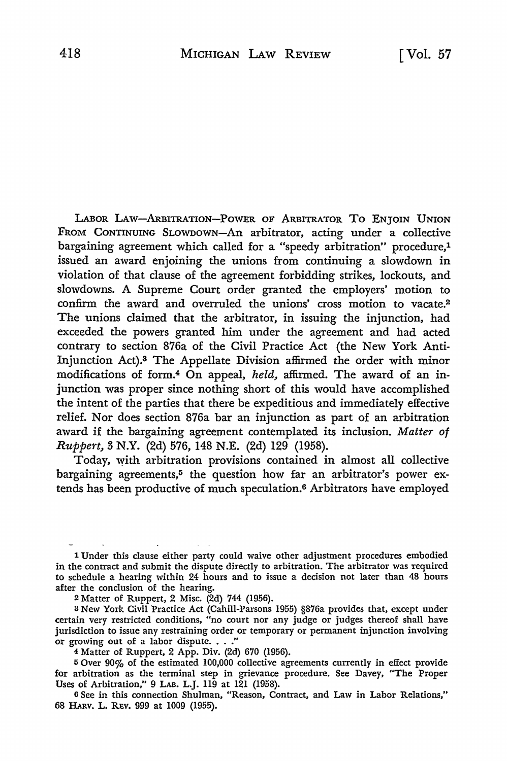LABOR LAw-ARBITRATION-PowER oF ARBITRATOR To ENJOIN UNION FROM CONTINUING SLOWDOWN-An arbitrator, acting under a collective bargaining agreement which called for a "speedy arbitration" procedure,1 issued an award enjoining the unions from continuing a slowdown in violation of that clause of the agreement forbidding strikes, lockouts, and slowdowns. A Supreme Court order granted the employers' motion to confirm the award and overruled the unions' cross motion to vacate.<sup>2</sup> The unions claimed that the arbitrator, in issuing the injunction, had exceeded the powers granted him under the agreement and had acted contrary to section 876a of the Civil Practice Act (the New York Anti-Injunction Act).3 The Appellate Division affirmed the order with minor modifications of form.4 On appeal, *held,* affirmed. The award of an injunction was proper since nothing short of this would have accomplished the intent of the parties that there be expeditious and immediately effective relief. Nor does section 876a bar an injunction as part of an arbitration award if the bargaining agreement contemplated its inclusion. *Matter of Ruppert,* 3 N.Y. (2d) 576, 148 N.E. (2d) 129 (1958).

Today, with arbitration provisions contained in almost all collective bargaining agreements,<sup>5</sup> the question how far an arbitrator's power extends has been productive of much speculation.6 Arbitrators have employed

2 Matter of Ruppert, 2 Misc. (2d) 744 (1956).

a New York Civil Practice Act (Cahill-Parsons 1955) §876a provides that, except under certain very restricted conditions, "no court nor any judge or judges thereof shall have jurisdiction to issue any restraining order or temporary or permanent injunction involving or growing out of a labor dispute.  $\ldots$ ."

4 Matter of Ruppert, 2 App. Div. (2d) 670 (1956).

<sup>5</sup>Over 90% of the estimated 100,000 collective agreements currently in effect provide for arbitration as the terminal step in grievance procedure. See Davey, "The Proper Uses of Arbitration," 9 LAB. L.J. 119 at 121 (1958).

<sup>6</sup>See in this connection Shulman, "Reason, Contract, and Law in Labor Relations," 68 HARv. L. REv. 999 at 1009 (1955).

<sup>1</sup> Under this clause either party could waive other adjustment procedures embodied in the contract and submit the dispute directly to arbitration. The arbitrator was required to schedule a hearing within 24 hours and to issue a decision not later than 48 hours after the conclusion of the hearing.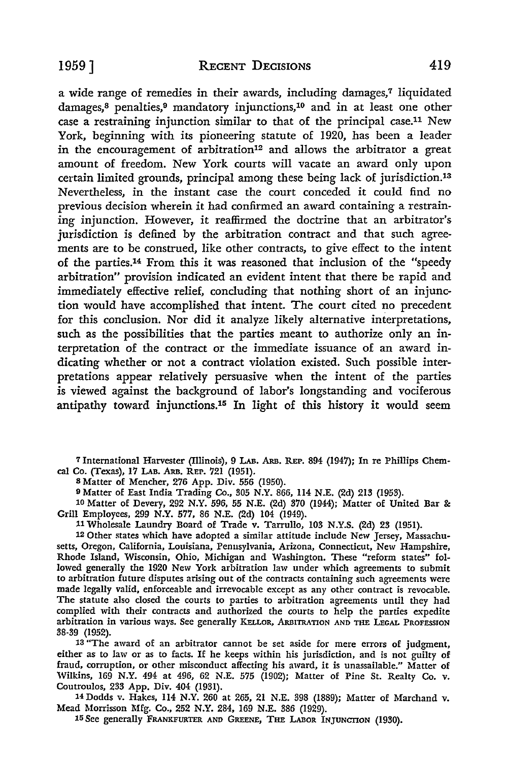a wide range of remedies in their awards, including damages,<sup>7</sup> liquidated damages,<sup>8</sup> penalties,<sup>9</sup> mandatory injunctions,<sup>10</sup> and in at least one other case a restraining injunction similar to that of the principal case.11 New York, beginning with its pioneering statute of 1920, has been a leader in the encouragement of arbitration<sup>12</sup> and allows the arbitrator a great amount of freedom. New York courts will vacate an award only upon certain limited grounds, principal among these being lack of jurisdiction.<sup>13</sup> Nevertheless, in the instant case the court conceded it could find no previous decision wherein it had confirmed an award containing a restraining injunction. However, it reaffirmed the doctrine that an arbitrator's jurisdiction is defined by the arbitration contract and that such agreements are to be construed, like other contracts, to give effect to the intent of the parties.14 From this it was reasoned that inclusion of the "speedy arbitration" provision indicated an evident intent that there be rapid and immediately effective relief, concluding that nothing short of an injunction would have accomplished that intent. The court cited no precedent for this conclusion. Nor did it analyze likely alternative interpretations, such as the possibilities that the parties meant to authorize only an interpretation of the contract or the immediate issuance of an award indicating whether or not a contract violation existed. Such possible interpretations appear relatively persuasive when the intent of the parties is viewed against the background of labor's longstanding and vociferous antipathy toward injunctions.15 In light of this history it would seem

7 International Harvester (Illinois), 9 LAB. ARB. REP. 894 (1947); In re Phillips Chemcal Co. (Texas), 17 LAB. ARB. REP. 721 (1951).

s Matter of Mencher, 276 App. Div. 556 (1950).

9 Matter of East India Trading Co., 305 N.Y. 866, 114 N.E. (2d) 213 (1953).

10 Matter of Devery, 292 N.Y. 596, 55 N.E. (2d) 370 (1944); Matter of United Bar &: Grill Employees, 299 N.Y. 577, 86 N.E. (2d) 104 (1949).

11 Wholesale Laundry Board of Trade v. Tarrullo, 103 N.Y.S. (2d) 23 (1951).

12 Other states which have adopted a similar attitude include New Jersey, Massachusetts, Oregon, California, Louisiana, Pennsylvania, Arizona, Connecticut, New Hampshire, Rhode Island, Wisconsin, Ohio, Michigan and Washington. These "reform states" followed generally the 1920 New York arbitration law under which agreements to submit to arbitration future disputes arising out of the contracts containing such agreements were made legally valid, enforceable and irrevocable except as any other contract is revocable. The statute also closed the courts to parties to arbitration agreements until they had complied with their contracts and authorized the courts to help the parties expedite arbitration in various ways. See generally KELLOR, ARBITRATION AND THE LEGAL PROFESSION 38-39 (1952).

13 "The award of an arbitrator cannot be set aside for mere errors of judgment, either as to law or as to facts. If he keeps within his jurisdiction, and is not guilty of fraud, corruption, or other misconduct affecting his award, it is unassailable." Matter of Wilkins, 169 **N.Y.** 494 at 496, 62 N.E. 575 (1902); Matter of Pine St. Realty Co. v. Coutroulos, 233 App. Div. 404 (1931).

14 Dodds v. Hakes, 114 N.Y. 260 at 265, 21 N.E. 398 (1889); Matter of Marchand v. Mead Morrisson Mfg. Co., 252 N.Y. 284, 169 N.E. 386 (1929).

15 See generally FRANKFURTER AND GREENE, THE LABOR INJUNCTION (1930).